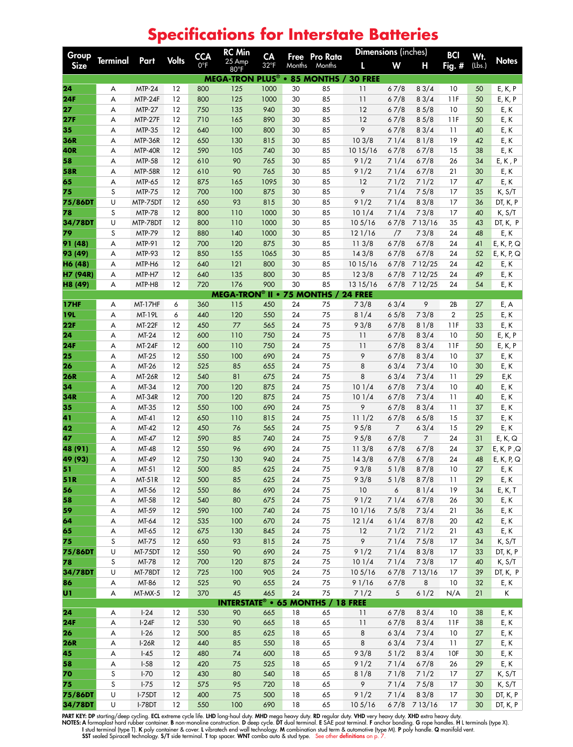## Group<br>Size Terminal Part Volts CCA 0°F RC Min 25 Amp 80°F CA 32°F Free Months Pro Rata Months **Dimensions** (inches) **BCI**<br>**L** W H Fig. : Fig. # Wt.<br>(Lbs.) L W H Fig.  $\#$  (Lbs.) Notes **MEGA-TRON PLUS® • 85 MONTHS / 30 FREE 24** A MTP-24 12 800 125 1000 30 85 11 6 7/8 8 3/4 10 50 E, K, P **24F** A MTP-24F 12 800 125 1000 30 85 11 6 7/8 8 3/4 11F 50 E, K, P **27** A MTP-27 12 750 135 940 30 85 12 6 7/8 8 5/8 10 50 E, K **27F** A MTP-27F 12 710 165 890 30 85 12 6 7/8 8 5/8 11F 50 E, K **35** A MTP-35 12 640 100 800 30 85 9 6 7/8 8 3/4 11 40 E, K **36R** A MTP-36R 12 650 130 815 30 85 10 3/8 7 1/4 8 1/8 19 42 E, K **40R** A MTP-40R 12 590 105 740 30 85 10 15/16 6 7/8 6 7/8 15 38 E, K **58** A MTP-58 12 610 90 765 30 85 9 1/2 7 1/4 6 7/8 26 34 E, K , P **58R** A MTP-58R 12 610 90 765 30 85 9 1/2 7 1/4 6 7/8 21 30 E, K **65** A MTP-65 12 875 165 1095 30 85 12 7 1/2 7 1/2 17 47 E, K **75** S MTP-75 12 700 100 875 30 85 9 7 1/4 7 5/8 17 35 K, S/T **75/86DT** U MTP-75DT 12 650 93 815 30 85 9 1/2 7 1/4 8 3/8 17 36 DT, K, P **78** S MTP-78 12 800 110 1000 30 85 10 1/4 7 1/4 7 3/8 17 40 K, S/T **34/78DT** U MTP-78DT 12 800 110 1000 30 85 10 5/16 6 7/8 7 13/16 35 43 DT, K, P **79** S MTP-79 12 880 140 1000 30 85 12 1/16 /7 7 3/8 24 48 E, K **91 (48)** A MTP-91 12 700 120 875 30 85 11 3/8 6 7/8 6 7/8 24 41 E, K, P, Q **93 (49)** A MTP-93 12 850 155 1065 30 85 143/8 6 7/8 6 7/8 24 52 E, K, P, Q **H6 (48)** A MTP-H6 12 640 121 800 30 85 10 15/16 6 7/8 7 12/25 24 42 E, K **H7 (94R)** A MTP-H7 12 640 135 800 30 85 12 3/8 6 7/8 7 12/25 24 49 E, K **H8 (49)** A MTP-H8 12 720 176 900 30 85 13 15/16 6 7/8 7 12/25 24 54 E, K **MEGA-TRON® II • 75 MONTHS / 24 FREE 17HF** A MT-17HF 6 360 115 450 24 75 7 3/8 6 3/4 9 2B 27 E, A **19L** A MT-19L 6 440 120 550 24 75 8 1/4 6 5/8 7 3/8 2 25 E, K **22F** A MT-22F 12 450 77 565 24 75 9 3/8 6 7/8 8 1/8 11F 33 E, K **24** A MT-24 12 600 110 750 24 75 11 6 7/8 8 3/4 10 50 E, K, P **24F** A MT-24F 12 600 110 750 24 75 11 6 7/8 8 3/4 11F 50 E, K, P **25** A MT-25 12 550 100 690 24 75 9 6 7/8 8 3/4 10 37 E, K **26** A MT-26 12 525 85 655 24 75 8 6 3/4 7 3/4 10 30 E, K **26R** A MT-26R 12 540 81 675 24 75 8 6 3/4 7 3/4 11 29 E,K **34** A MT-34 12 700 120 875 24 75 10 1/4 6 7/8 7 3/4 10 40 E, K **34R** A MT-34R 12 700 120 875 24 75 10 1/4 6 7/8 7 3/4 11 40 E, K **35** A MT-35 12 550 100 690 24 75 9 6 7/8 8 3/4 11 37 E, K **41** A MT-41 12 650 110 815 24 75 11 1/2 6 7/8 6 5/8 15 37 E, K **42** A MT-42 12 450 76 565 24 75 9 5/8 7 6 3/4 15 29 E, K **47** A MT-47 12 590 85 740 24 75 9 5/8 6 7/8 7 24 31 E, K, Q **48 (91)** A MT-48 12 550 96 690 24 75 11 3/8 6 7/8 6 7/8 24 37 E, K, P ,Q **49 (93)** A MT-49 12 750 130 940 24 75 14 3/8 6 7/8 6 7/8 24 48 E, K, P, Q **51** A MT-51 12 500 85 625 24 75 9 3/8 5 1/8 8 7/8 10 27 E, K **51R** A MT-51R 12 500 85 625 24 75 9 3/8 5 1/8 8 7/8 11 29 E, K **56** A MT-56 12 550 86 690 24 75 10 6 8 1/4 19 34 E, K, T **58** A MT-58 12 540 80 675 24 75 9 1/2 7 1/4 6 7/8 26 30 E, K **59** A MT-59 12 590 100 740 24 75 10 1/16 7 5/8 7 3/4 21 36 E, K **64** A MT-64 12 535 100 670 24 75 12 1/4 6 1/4 8 7/8 20 42 E, K **65** A MT-65 12 675 130 845 24 75 12 7 1/2 7 1/2 21 43 E, K **75** S MT-75 12 650 93 815 24 75 9 7 1/4 7 5/8 17 34 K, S/T **75/86DT** U MT-75DT 12 550 90 690 24 75 9 1/2 7 1/4 8 3/8 17 33 DT, K, P **78** S MT-78 12 700 120 875 24 75 10 1/4 7 1/4 7 3/8 17 40 K, S/T **34/78DT** U MT-78DT 12 725 100 905 24 75 10 5/16 6 7/8 7 13/16 17 39 DT, K, P **86** A MT-86 12 525 90 655 24 75 9 1/16 6 7/8 8 10 32 E, K **U1** A MT-MX-5 12 370 45 465 24 75 7 1/2 5 6 1/2 N/A 21 K **INTERSTATE® • 65 MONTHS / 18 FREE 24** A I-24 12 530 90 665 18 65 11 6 7/8 8 3/4 10 38 E, K **24F** A I-24F 12 530 90 665 18 65 11 6 7/8 8 3/4 11F 38 E, K **26** A I-26 12 500 85 625 18 65 8 6 3/4 7 3/4 10 27 E, K **26R** A I-26R 12 440 85 550 18 65 8 6 3/4 7 3/4 11 27 E, K **45** A I-45 12 480 74 600 18 65 9 3/8 5 1/2 8 3/4 10F 30 E, K **58** A I-58 12 420 75 525 18 65 9 1/2 7 1/4 6 7/8 26 29 E, K **70** S I-70 12 430 80 540 18 65 8 1/8 7 1/8 7 1/2 17 27 K, S/T **75** S I-75 12 575 95 720 18 65 9 7 1/4 7 5/8 17 30 K, S/T **75/86DT** U I-75DT 12 400 75 500 18 65 9 1/2 7 1/4 8 3/8 17 30 DT, K, P

## **Specifications for Interstate Batteries**

PART KEY: DP starting/deep cycling. ECL extreme cycle life. LHD long-haul duty. MHD mega heavy duty. RD regular duty. VHD very heavy duty. XHD extra heavy duty.<br>NOTES: A formaplast hard rubber container. B non-monoline con

SST sealed Spiracell technology. S/T side terminal. T top spacer. WNT combo auto & stud type. See other definitions on p.

**34/78DT** U I-78DT 12 550 100 690 18 65 10 5/16 6 7/8 7 13/16 17 30 DT, K, P